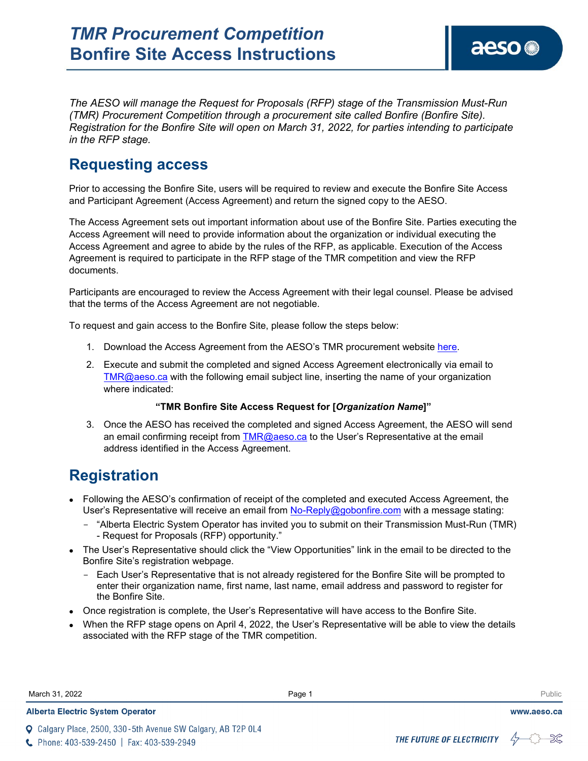aeso<sup>®</sup>

*The AESO will manage the Request for Proposals (RFP) stage of the Transmission Must-Run (TMR) Procurement Competition through a procurement site called Bonfire (Bonfire Site). Registration for the Bonfire Site will open on March 31, 2022, for parties intending to participate in the RFP stage.*

## **Requesting access**

Prior to accessing the Bonfire Site, users will be required to review and execute the Bonfire Site Access and Participant Agreement (Access Agreement) and return the signed copy to the AESO.

The Access Agreement sets out important information about use of the Bonfire Site. Parties executing the Access Agreement will need to provide information about the organization or individual executing the Access Agreement and agree to abide by the rules of the RFP, as applicable. Execution of the Access Agreement is required to participate in the RFP stage of the TMR competition and view the RFP documents.

Participants are encouraged to review the Access Agreement with their legal counsel. Please be advised that the terms of the Access Agreement are not negotiable.

To request and gain access to the Bonfire Site, please follow the steps below:

- 1. Download the Access Agreement from the AESO's TMR procurement website [here.](https://www.aeso.ca/market/ancillary-services/transmission-must-run-service/)
- 2. Execute and submit the completed and signed Access Agreement electronically via email to [TMR@aeso.ca](mailto:TMR@aeso.ca) with the following email subject line, inserting the name of your organization where indicated:

## **"TMR Bonfire Site Access Request for [***Organization Name***]"**

3. Once the AESO has received the completed and signed Access Agreement, the AESO will send an email confirming receipt from [TMR@aeso.ca](mailto:TMR@aeso.ca) to the User's Representative at the email address identified in the Access Agreement.

## **Registration**

- Following the AESO's confirmation of receipt of the completed and executed Access Agreement, the User's Representative will receive an email from [No-Reply@gobonfire.com](mailto:No-Reply@gobonfire.com) with a message stating:
	- "Alberta Electric System Operator has invited you to submit on their Transmission Must-Run (TMR) - Request for Proposals (RFP) opportunity."
- The User's Representative should click the "View Opportunities" link in the email to be directed to the Bonfire Site's registration webpage.
	- Each User's Representative that is not already registered for the Bonfire Site will be prompted to enter their organization name, first name, last name, email address and password to register for the Bonfire Site.
- Once registration is complete, the User's Representative will have access to the Bonfire Site.
- When the RFP stage opens on April 4, 2022, the User's Representative will be able to view the details associated with the RFP stage of the TMR competition.

| March 31, 2022 | Page | Public |
|----------------|------|--------|
|                |      |        |

Q Calgary Place, 2500, 330-5th Avenue SW Calgary, AB T2P 0L4



www.aeso.ca